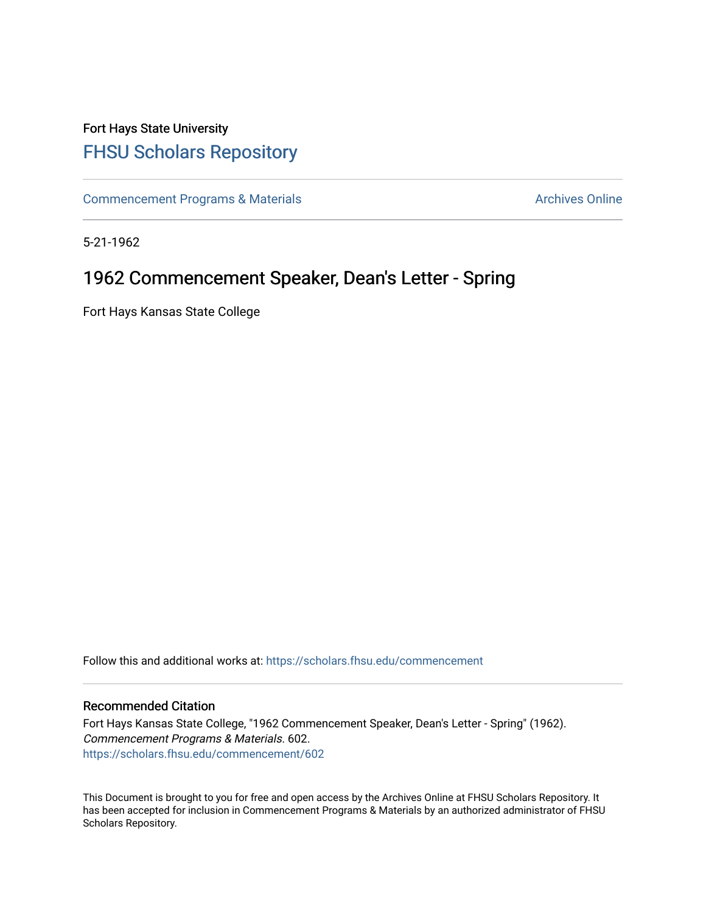## Fort Hays State University [FHSU Scholars Repository](https://scholars.fhsu.edu/)

[Commencement Programs & Materials](https://scholars.fhsu.edu/commencement) **Archives Online** Archives Online

5-21-1962

## 1962 Commencement Speaker, Dean's Letter - Spring

Fort Hays Kansas State College

Follow this and additional works at: [https://scholars.fhsu.edu/commencement](https://scholars.fhsu.edu/commencement?utm_source=scholars.fhsu.edu%2Fcommencement%2F602&utm_medium=PDF&utm_campaign=PDFCoverPages)

## Recommended Citation

Fort Hays Kansas State College, "1962 Commencement Speaker, Dean's Letter - Spring" (1962). Commencement Programs & Materials. 602. [https://scholars.fhsu.edu/commencement/602](https://scholars.fhsu.edu/commencement/602?utm_source=scholars.fhsu.edu%2Fcommencement%2F602&utm_medium=PDF&utm_campaign=PDFCoverPages)

This Document is brought to you for free and open access by the Archives Online at FHSU Scholars Repository. It has been accepted for inclusion in Commencement Programs & Materials by an authorized administrator of FHSU Scholars Repository.